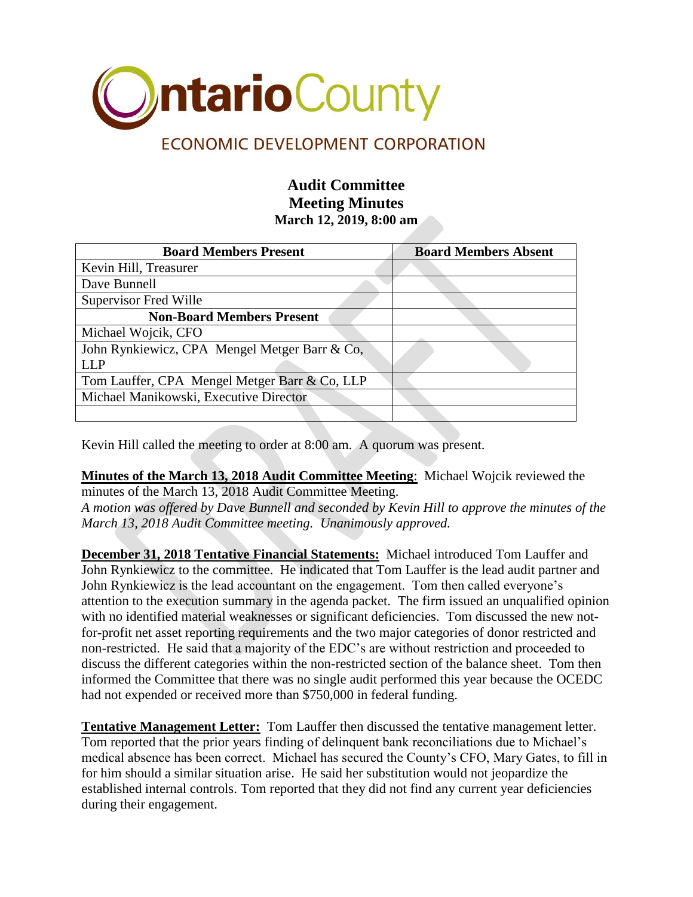

## **Audit Committee Meeting Minutes March 12, 2019, 8:00 am**

| <b>Board Members Present</b>                  | <b>Board Members Absent</b> |
|-----------------------------------------------|-----------------------------|
| Kevin Hill, Treasurer                         |                             |
| Dave Bunnell                                  |                             |
| <b>Supervisor Fred Wille</b>                  |                             |
| <b>Non-Board Members Present</b>              |                             |
| Michael Wojcik, CFO                           |                             |
| John Rynkiewicz, CPA Mengel Metger Barr & Co, |                             |
| LLP                                           |                             |
| Tom Lauffer, CPA Mengel Metger Barr & Co, LLP |                             |
| Michael Manikowski, Executive Director        |                             |
|                                               |                             |

Kevin Hill called the meeting to order at 8:00 am. A quorum was present.

**Minutes of the March 13, 2018 Audit Committee Meeting**: Michael Wojcik reviewed the minutes of the March 13, 2018 Audit Committee Meeting.

*A motion was offered by Dave Bunnell and seconded by Kevin Hill to approve the minutes of the March 13, 2018 Audit Committee meeting. Unanimously approved.*

**December 31, 2018 Tentative Financial Statements:** Michael introduced Tom Lauffer and John Rynkiewicz to the committee. He indicated that Tom Lauffer is the lead audit partner and John Rynkiewicz is the lead accountant on the engagement. Tom then called everyone's attention to the execution summary in the agenda packet. The firm issued an unqualified opinion with no identified material weaknesses or significant deficiencies. Tom discussed the new notfor-profit net asset reporting requirements and the two major categories of donor restricted and non-restricted. He said that a majority of the EDC's are without restriction and proceeded to discuss the different categories within the non-restricted section of the balance sheet. Tom then informed the Committee that there was no single audit performed this year because the OCEDC had not expended or received more than \$750,000 in federal funding.

**Tentative Management Letter:** Tom Lauffer then discussed the tentative management letter. Tom reported that the prior years finding of delinquent bank reconciliations due to Michael's medical absence has been correct. Michael has secured the County's CFO, Mary Gates, to fill in for him should a similar situation arise. He said her substitution would not jeopardize the established internal controls. Tom reported that they did not find any current year deficiencies during their engagement.